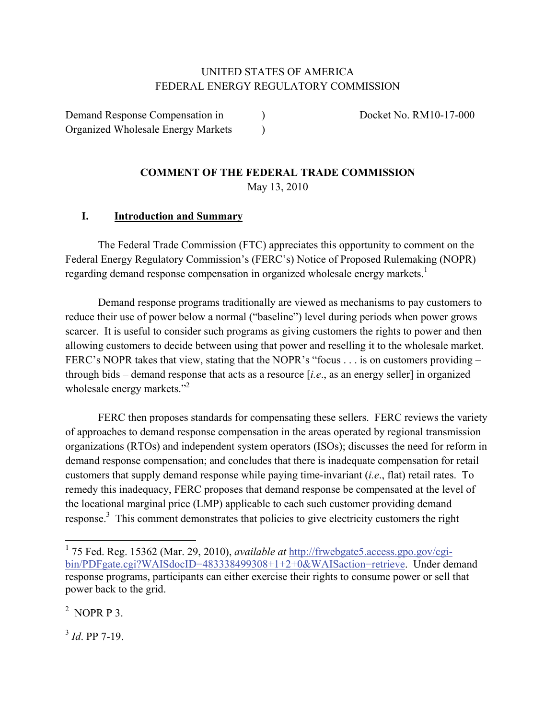### UNITED STATES OF AMERICA FEDERAL ENERGY REGULATORY COMMISSION

Demand Response Compensation in  $Docket No. RM10-17-000$ Organized Wholesale Energy Markets )

### **COMMENT OF THE FEDERAL TRADE COMMISSION**  May 13, 2010

### **I. Introduction and Summary**

The Federal Trade Commission (FTC) appreciates this opportunity to comment on the Federal Energy Regulatory Commission's (FERC's) Notice of Proposed Rulemaking (NOPR) regarding demand response compensation in organized wholesale energy markets.<sup>1</sup>

Demand response programs traditionally are viewed as mechanisms to pay customers to reduce their use of power below a normal ("baseline") level during periods when power grows scarcer. It is useful to consider such programs as giving customers the rights to power and then allowing customers to decide between using that power and reselling it to the wholesale market. FERC's NOPR takes that view, stating that the NOPR's "focus . . . is on customers providing – through bids – demand response that acts as a resource [*i.e*., as an energy seller] in organized wholesale energy markets."<sup>2</sup>

FERC then proposes standards for compensating these sellers. FERC reviews the variety of approaches to demand response compensation in the areas operated by regional transmission organizations (RTOs) and independent system operators (ISOs); discusses the need for reform in demand response compensation; and concludes that there is inadequate compensation for retail customers that supply demand response while paying time-invariant (*i.e*., flat) retail rates. To remedy this inadequacy, FERC proposes that demand response be compensated at the level of the locational marginal price (LMP) applicable to each such customer providing demand response.<sup>3</sup> This comment demonstrates that policies to give electricity customers the right

 $^2$  NOPR P 3.

 $3 \text{ Id}$ . PP 7-19.

<sup>1</sup> 75 Fed. Reg. 15362 (Mar. 29, 2010), *available at* http://frwebgate5.access.gpo.gov/cgibin/PDFgate.cgi?WAISdocID=483338499308+1+2+0&WAISaction=retrieve. Under demand response programs, participants can either exercise their rights to consume power or sell that power back to the grid.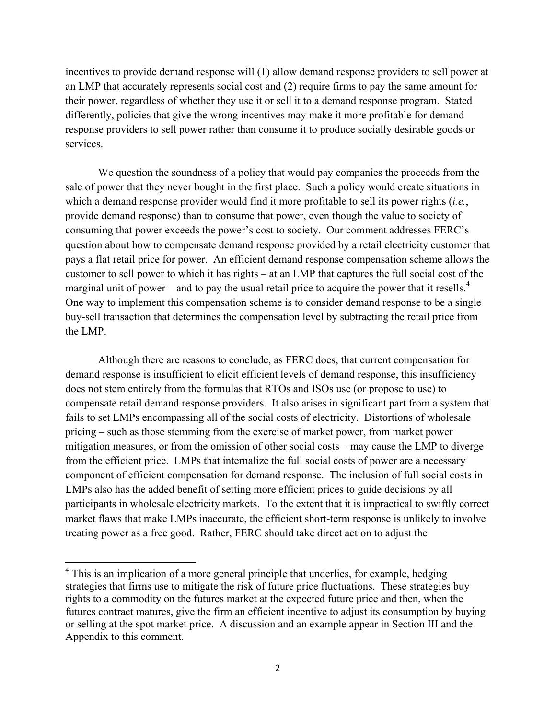incentives to provide demand response will (1) allow demand response providers to sell power at an LMP that accurately represents social cost and (2) require firms to pay the same amount for their power, regardless of whether they use it or sell it to a demand response program. Stated differently, policies that give the wrong incentives may make it more profitable for demand response providers to sell power rather than consume it to produce socially desirable goods or services.

 We question the soundness of a policy that would pay companies the proceeds from the sale of power that they never bought in the first place. Such a policy would create situations in which a demand response provider would find it more profitable to sell its power rights (*i.e.*, provide demand response) than to consume that power, even though the value to society of consuming that power exceeds the power's cost to society. Our comment addresses FERC's question about how to compensate demand response provided by a retail electricity customer that pays a flat retail price for power. An efficient demand response compensation scheme allows the customer to sell power to which it has rights – at an LMP that captures the full social cost of the marginal unit of power – and to pay the usual retail price to acquire the power that it resells.<sup>4</sup> One way to implement this compensation scheme is to consider demand response to be a single buy-sell transaction that determines the compensation level by subtracting the retail price from the LMP.

Although there are reasons to conclude, as FERC does, that current compensation for demand response is insufficient to elicit efficient levels of demand response, this insufficiency does not stem entirely from the formulas that RTOs and ISOs use (or propose to use) to compensate retail demand response providers. It also arises in significant part from a system that fails to set LMPs encompassing all of the social costs of electricity. Distortions of wholesale pricing – such as those stemming from the exercise of market power, from market power mitigation measures, or from the omission of other social costs – may cause the LMP to diverge from the efficient price. LMPs that internalize the full social costs of power are a necessary component of efficient compensation for demand response. The inclusion of full social costs in LMPs also has the added benefit of setting more efficient prices to guide decisions by all participants in wholesale electricity markets. To the extent that it is impractical to swiftly correct market flaws that make LMPs inaccurate, the efficient short-term response is unlikely to involve treating power as a free good. Rather, FERC should take direct action to adjust the

<sup>&</sup>lt;sup>4</sup> This is an implication of a more general principle that underlies, for example, hedging strategies that firms use to mitigate the risk of future price fluctuations. These strategies buy rights to a commodity on the futures market at the expected future price and then, when the futures contract matures, give the firm an efficient incentive to adjust its consumption by buying or selling at the spot market price. A discussion and an example appear in Section III and the Appendix to this comment.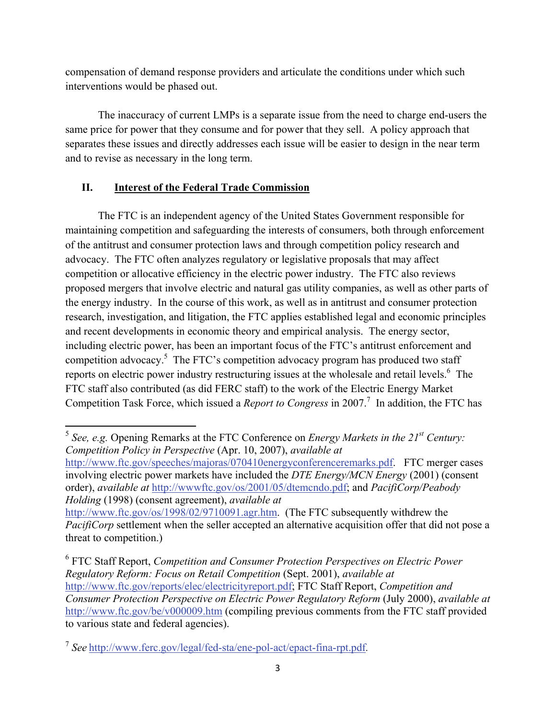compensation of demand response providers and articulate the conditions under which such interventions would be phased out.

 The inaccuracy of current LMPs is a separate issue from the need to charge end-users the same price for power that they consume and for power that they sell. A policy approach that separates these issues and directly addresses each issue will be easier to design in the near term and to revise as necessary in the long term.

# **II. Interest of the Federal Trade Commission**

The FTC is an independent agency of the United States Government responsible for maintaining competition and safeguarding the interests of consumers, both through enforcement of the antitrust and consumer protection laws and through competition policy research and advocacy. The FTC often analyzes regulatory or legislative proposals that may affect competition or allocative efficiency in the electric power industry. The FTC also reviews proposed mergers that involve electric and natural gas utility companies, as well as other parts of the energy industry. In the course of this work, as well as in antitrust and consumer protection research, investigation, and litigation, the FTC applies established legal and economic principles and recent developments in economic theory and empirical analysis. The energy sector, including electric power, has been an important focus of the FTC's antitrust enforcement and competition advocacy.<sup>5</sup> The FTC's competition advocacy program has produced two staff reports on electric power industry restructuring issues at the wholesale and retail levels.<sup>6</sup> The FTC staff also contributed (as did FERC staff) to the work of the Electric Energy Market Competition Task Force, which issued a *Report to Congress* in 2007.<sup>7</sup> In addition, the FTC has

http://www.ftc.gov/speeches/majoras/070410energyconferenceremarks.pdf. FTC merger cases involving electric power markets have included the *DTE Energy/MCN Energy* (2001) (consent order), *available at* http://wwwftc.gov/os/2001/05/dtemcndo.pdf; and *PacifiCorp/Peabody Holding* (1998) (consent agreement), *available at*

http://www.ftc.gov/os/1998/02/9710091.agr.htm. (The FTC subsequently withdrew the *PacifiCorp* settlement when the seller accepted an alternative acquisition offer that did not pose a threat to competition.)

6 FTC Staff Report, *Competition and Consumer Protection Perspectives on Electric Power Regulatory Reform: Focus on Retail Competition* (Sept. 2001), *available at* http://www.ftc.gov/reports/elec/electricityreport.pdf; FTC Staff Report, *Competition and Consumer Protection Perspective on Electric Power Regulatory Reform* (July 2000), *available at* http://www.ftc.gov/be/v000009.htm (compiling previous comments from the FTC staff provided to various state and federal agencies).

 <sup>5</sup> *See, e.g.* Opening Remarks at the FTC Conference on *Energy Markets in the 21st Century: Competition Policy in Perspective* (Apr. 10, 2007), *available at*

<sup>7</sup> *See* http://www.ferc.gov/legal/fed-sta/ene-pol-act/epact-fina-rpt.pdf.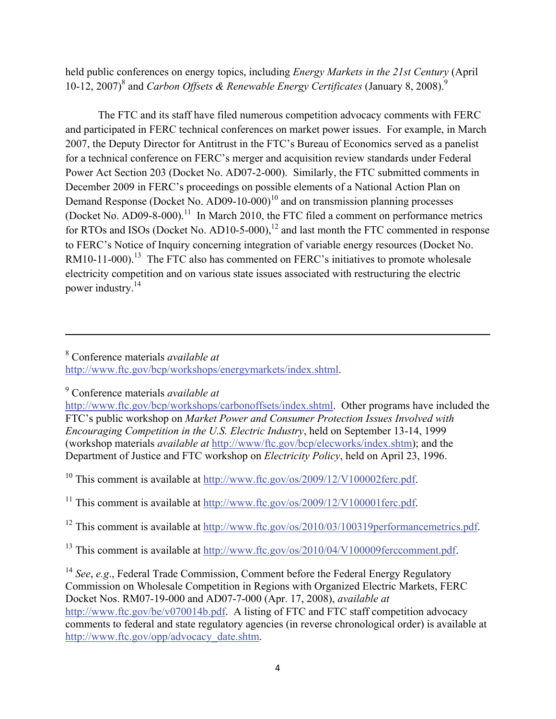held public conferences on energy topics, including *Energy Markets in the 21st Century* (April 10-12, 2007)<sup>8</sup> and *Carbon Offsets & Renewable Energy Certificates* (January 8, 2008).<sup>9</sup>

 The FTC and its staff have filed numerous competition advocacy comments with FERC and participated in FERC technical conferences on market power issues. For example, in March 2007, the Deputy Director for Antitrust in the FTC's Bureau of Economics served as a panelist for a technical conference on FERC's merger and acquisition review standards under Federal Power Act Section 203 (Docket No. AD07-2-000). Similarly, the FTC submitted comments in December 2009 in FERC's proceedings on possible elements of a National Action Plan on Demand Response (Docket No. AD09-10-000)<sup>10</sup> and on transmission planning processes (Docket No. AD09-8-000).<sup>11</sup> In March 2010, the FTC filed a comment on performance metrics for RTOs and ISOs (Docket No. AD10-5-000),<sup>12</sup> and last month the FTC commented in response to FERC's Notice of Inquiry concerning integration of variable energy resources (Docket No. RM10-11-000).<sup>13</sup> The FTC also has commented on FERC's initiatives to promote wholesale electricity competition and on various state issues associated with restructuring the electric power industry.14

9 Conference materials *available at*

http://www.ftc.gov/bcp/workshops/carbonoffsets/index.shtml. Other programs have included the FTC's public workshop on *Market Power and Consumer Protection Issues Involved with Encouraging Competition in the U.S. Electric Industry*, held on September 13-14, 1999 (workshop materials *available at* http://www/ftc.gov/bcp/elecworks/index.shtm); and the Department of Justice and FTC workshop on *Electricity Policy*, held on April 23, 1996.

<u> 1989 - Johann Stein, marwolaethau a gweledydd a ganlad y ganlad y ganlad y ganlad y ganlad y ganlad y ganlad</u>

<sup>10</sup> This comment is available at http://www.ftc.gov/os/2009/12/V100002ferc.pdf.

<sup>11</sup> This comment is available at http://www.ftc.gov/os/2009/12/V100001ferc.pdf.

<sup>12</sup> This comment is available at http://www.ftc.gov/os/2010/03/100319performancemetrics.pdf.

<sup>13</sup> This comment is available at http://www.ftc.gov/os/2010/04/V100009ferccomment.pdf.

<sup>14</sup> *See*, *e.g*., Federal Trade Commission, Comment before the Federal Energy Regulatory Commission on Wholesale Competition in Regions with Organized Electric Markets, FERC Docket Nos. RM07-19-000 and AD07-7-000 (Apr. 17, 2008), *available at* http://www.ftc.gov/be/v070014b.pdf. A listing of FTC and FTC staff competition advocacy comments to federal and state regulatory agencies (in reverse chronological order) is available at http://www.ftc.gov/opp/advocacy\_date.shtm.

<sup>8</sup> Conference materials *available at* http://www.ftc.gov/bcp/workshops/energymarkets/index.shtml.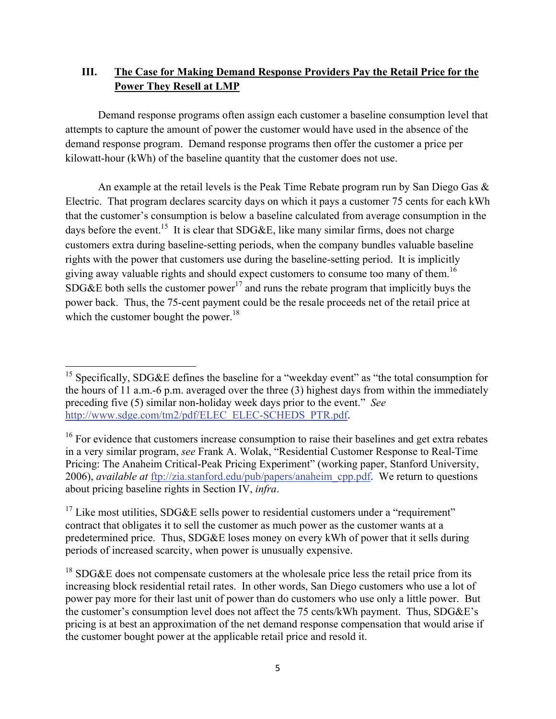### **III. The Case for Making Demand Response Providers Pay the Retail Price for the Power They Resell at LMP**

Demand response programs often assign each customer a baseline consumption level that attempts to capture the amount of power the customer would have used in the absence of the demand response program. Demand response programs then offer the customer a price per kilowatt-hour (kWh) of the baseline quantity that the customer does not use.

An example at the retail levels is the Peak Time Rebate program run by San Diego Gas  $\&$ Electric. That program declares scarcity days on which it pays a customer 75 cents for each kWh that the customer's consumption is below a baseline calculated from average consumption in the days before the event.<sup>15</sup> It is clear that SDG&E, like many similar firms, does not charge customers extra during baseline-setting periods, when the company bundles valuable baseline rights with the power that customers use during the baseline-setting period. It is implicitly giving away valuable rights and should expect customers to consume too many of them.<sup>16</sup> SDG&E both sells the customer power<sup>17</sup> and runs the rebate program that implicitly buys the power back. Thus, the 75-cent payment could be the resale proceeds net of the retail price at which the customer bought the power.<sup>18</sup>

 <sup>15</sup> Specifically, SDG&E defines the baseline for a "weekday event" as "the total consumption for the hours of 11 a.m.-6 p.m. averaged over the three (3) highest days from within the immediately preceding five (5) similar non-holiday week days prior to the event." *See* http://www.sdge.com/tm2/pdf/ELEC\_ELEC-SCHEDS\_PTR.pdf.

 $16$  For evidence that customers increase consumption to raise their baselines and get extra rebates in a very similar program, *see* Frank A. Wolak, "Residential Customer Response to Real-Time Pricing: The Anaheim Critical-Peak Pricing Experiment" (working paper, Stanford University, 2006), *available at* ftp://zia.stanford.edu/pub/papers/anaheim\_cpp.pdf. We return to questions about pricing baseline rights in Section IV, *infra*.

<sup>&</sup>lt;sup>17</sup> Like most utilities, SDG&E sells power to residential customers under a "requirement" contract that obligates it to sell the customer as much power as the customer wants at a predetermined price. Thus, SDG&E loses money on every kWh of power that it sells during periods of increased scarcity, when power is unusually expensive.

 $18$  SDG&E does not compensate customers at the wholesale price less the retail price from its increasing block residential retail rates. In other words, San Diego customers who use a lot of power pay more for their last unit of power than do customers who use only a little power. But the customer's consumption level does not affect the 75 cents/kWh payment. Thus, SDG&E's pricing is at best an approximation of the net demand response compensation that would arise if the customer bought power at the applicable retail price and resold it.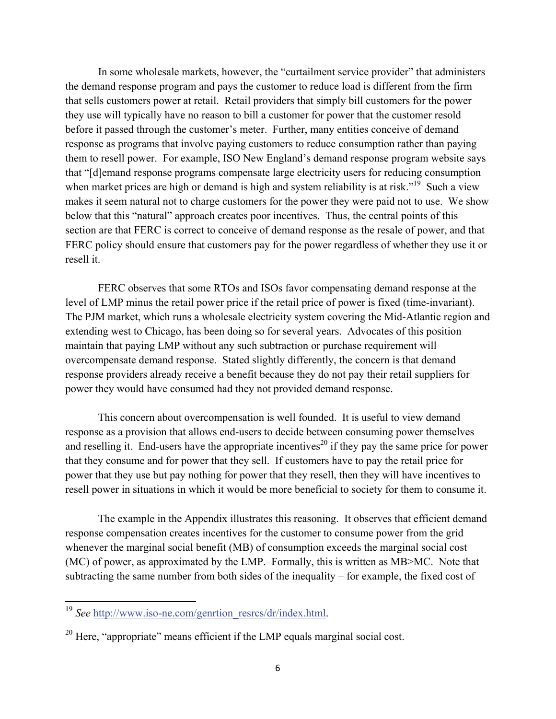In some wholesale markets, however, the "curtailment service provider" that administers the demand response program and pays the customer to reduce load is different from the firm that sells customers power at retail. Retail providers that simply bill customers for the power they use will typically have no reason to bill a customer for power that the customer resold before it passed through the customer's meter. Further, many entities conceive of demand response as programs that involve paying customers to reduce consumption rather than paying them to resell power. For example, ISO New England's demand response program website says that "[d]emand response programs compensate large electricity users for reducing consumption when market prices are high or demand is high and system reliability is at risk."<sup>19</sup> Such a view makes it seem natural not to charge customers for the power they were paid not to use. We show below that this "natural" approach creates poor incentives. Thus, the central points of this section are that FERC is correct to conceive of demand response as the resale of power, and that FERC policy should ensure that customers pay for the power regardless of whether they use it or resell it.

FERC observes that some RTOs and ISOs favor compensating demand response at the level of LMP minus the retail power price if the retail price of power is fixed (time-invariant). The PJM market, which runs a wholesale electricity system covering the Mid-Atlantic region and extending west to Chicago, has been doing so for several years. Advocates of this position maintain that paying LMP without any such subtraction or purchase requirement will overcompensate demand response. Stated slightly differently, the concern is that demand response providers already receive a benefit because they do not pay their retail suppliers for power they would have consumed had they not provided demand response.

This concern about overcompensation is well founded. It is useful to view demand response as a provision that allows end-users to decide between consuming power themselves and reselling it. End-users have the appropriate incentives<sup>20</sup> if they pay the same price for power that they consume and for power that they sell. If customers have to pay the retail price for power that they use but pay nothing for power that they resell, then they will have incentives to resell power in situations in which it would be more beneficial to society for them to consume it.

The example in the Appendix illustrates this reasoning. It observes that efficient demand response compensation creates incentives for the customer to consume power from the grid whenever the marginal social benefit (MB) of consumption exceeds the marginal social cost (MC) of power, as approximated by the LMP. Formally, this is written as MB>MC. Note that subtracting the same number from both sides of the inequality – for example, the fixed cost of

<sup>&</sup>lt;sup>19</sup> See http://www.iso-ne.com/genrtion\_resrcs/dr/index.html.

 $20$  Here, "appropriate" means efficient if the LMP equals marginal social cost.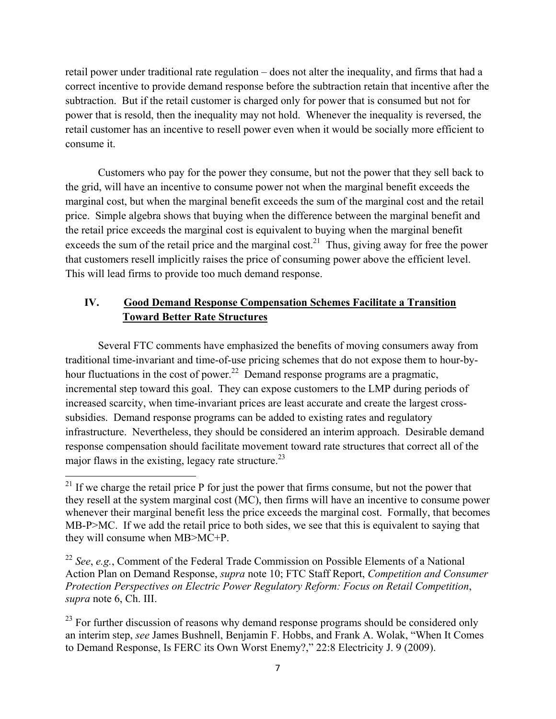retail power under traditional rate regulation – does not alter the inequality, and firms that had a correct incentive to provide demand response before the subtraction retain that incentive after the subtraction. But if the retail customer is charged only for power that is consumed but not for power that is resold, then the inequality may not hold. Whenever the inequality is reversed, the retail customer has an incentive to resell power even when it would be socially more efficient to consume it.

Customers who pay for the power they consume, but not the power that they sell back to the grid, will have an incentive to consume power not when the marginal benefit exceeds the marginal cost, but when the marginal benefit exceeds the sum of the marginal cost and the retail price. Simple algebra shows that buying when the difference between the marginal benefit and the retail price exceeds the marginal cost is equivalent to buying when the marginal benefit exceeds the sum of the retail price and the marginal cost.<sup>21</sup> Thus, giving away for free the power that customers resell implicitly raises the price of consuming power above the efficient level. This will lead firms to provide too much demand response.

# **IV. Good Demand Response Compensation Schemes Facilitate a Transition Toward Better Rate Structures**

 Several FTC comments have emphasized the benefits of moving consumers away from traditional time-invariant and time-of-use pricing schemes that do not expose them to hour-byhour fluctuations in the cost of power.<sup>22</sup> Demand response programs are a pragmatic, incremental step toward this goal. They can expose customers to the LMP during periods of increased scarcity, when time-invariant prices are least accurate and create the largest crosssubsidies. Demand response programs can be added to existing rates and regulatory infrastructure. Nevertheless, they should be considered an interim approach. Desirable demand response compensation should facilitate movement toward rate structures that correct all of the major flaws in the existing, legacy rate structure.<sup>23</sup>

 $2<sup>1</sup>$  If we charge the retail price P for just the power that firms consume, but not the power that they resell at the system marginal cost (MC), then firms will have an incentive to consume power whenever their marginal benefit less the price exceeds the marginal cost. Formally, that becomes MB-P>MC. If we add the retail price to both sides, we see that this is equivalent to saying that they will consume when MB>MC+P.

<sup>22</sup> *See*, *e.g.*, Comment of the Federal Trade Commission on Possible Elements of a National Action Plan on Demand Response, *supra* note 10; FTC Staff Report, *Competition and Consumer Protection Perspectives on Electric Power Regulatory Reform: Focus on Retail Competition*, *supra* note 6, Ch. III.

 $^{23}$  For further discussion of reasons why demand response programs should be considered only an interim step, *see* James Bushnell, Benjamin F. Hobbs, and Frank A. Wolak, "When It Comes to Demand Response, Is FERC its Own Worst Enemy?," 22:8 Electricity J. 9 (2009).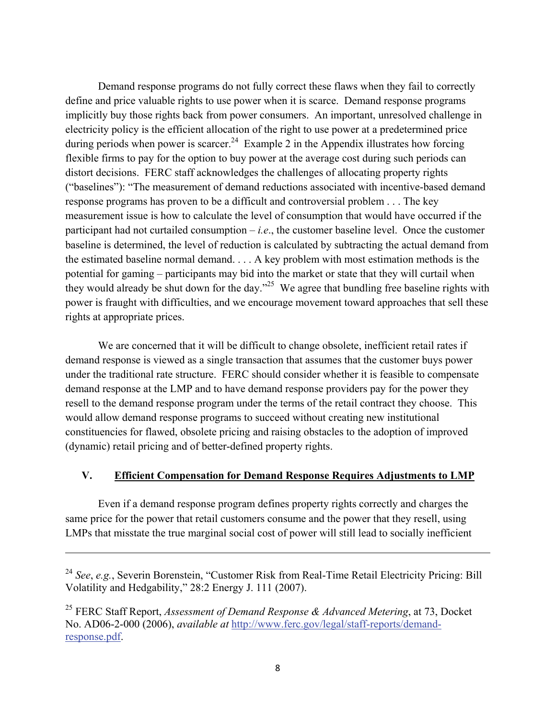Demand response programs do not fully correct these flaws when they fail to correctly define and price valuable rights to use power when it is scarce. Demand response programs implicitly buy those rights back from power consumers. An important, unresolved challenge in electricity policy is the efficient allocation of the right to use power at a predetermined price during periods when power is scarcer.<sup>24</sup> Example 2 in the Appendix illustrates how forcing flexible firms to pay for the option to buy power at the average cost during such periods can distort decisions. FERC staff acknowledges the challenges of allocating property rights ("baselines"): "The measurement of demand reductions associated with incentive-based demand response programs has proven to be a difficult and controversial problem . . . The key measurement issue is how to calculate the level of consumption that would have occurred if the participant had not curtailed consumption  $-i.e.,$  the customer baseline level. Once the customer baseline is determined, the level of reduction is calculated by subtracting the actual demand from the estimated baseline normal demand. . . . A key problem with most estimation methods is the potential for gaming – participants may bid into the market or state that they will curtail when they would already be shut down for the day."<sup>25</sup> We agree that bundling free baseline rights with power is fraught with difficulties, and we encourage movement toward approaches that sell these rights at appropriate prices.

We are concerned that it will be difficult to change obsolete, inefficient retail rates if demand response is viewed as a single transaction that assumes that the customer buys power under the traditional rate structure. FERC should consider whether it is feasible to compensate demand response at the LMP and to have demand response providers pay for the power they resell to the demand response program under the terms of the retail contract they choose. This would allow demand response programs to succeed without creating new institutional constituencies for flawed, obsolete pricing and raising obstacles to the adoption of improved (dynamic) retail pricing and of better-defined property rights.

#### **V. Efficient Compensation for Demand Response Requires Adjustments to LMP**

Even if a demand response program defines property rights correctly and charges the same price for the power that retail customers consume and the power that they resell, using LMPs that misstate the true marginal social cost of power will still lead to socially inefficient

<u> 1989 - Johann Stein, marwolaethau a gweledydd a ganlad y ganlad y ganlad y ganlad y ganlad y ganlad y ganlad</u>

<sup>24</sup> *See*, *e.g.*, Severin Borenstein, "Customer Risk from Real-Time Retail Electricity Pricing: Bill Volatility and Hedgability," 28:2 Energy J. 111 (2007).

<sup>25</sup> FERC Staff Report, *Assessment of Demand Response & Advanced Metering*, at 73, Docket No. AD06-2-000 (2006), *available at* http://www.ferc.gov/legal/staff-reports/demandresponse.pdf.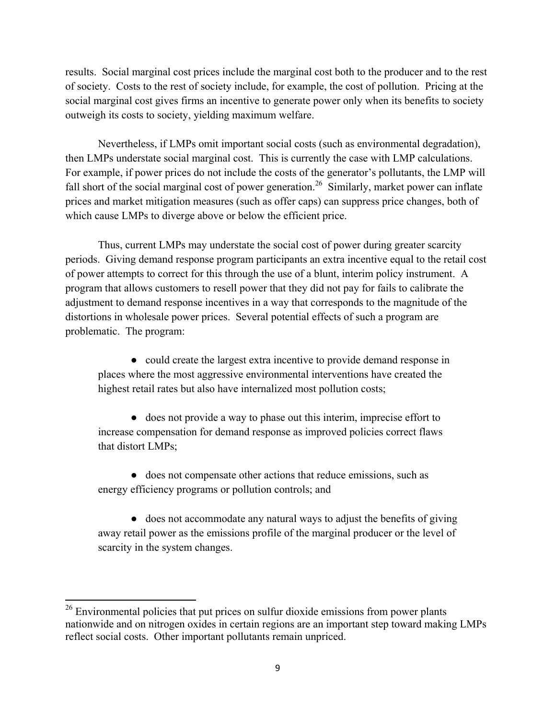results. Social marginal cost prices include the marginal cost both to the producer and to the rest of society. Costs to the rest of society include, for example, the cost of pollution. Pricing at the social marginal cost gives firms an incentive to generate power only when its benefits to society outweigh its costs to society, yielding maximum welfare.

Nevertheless, if LMPs omit important social costs (such as environmental degradation), then LMPs understate social marginal cost. This is currently the case with LMP calculations. For example, if power prices do not include the costs of the generator's pollutants, the LMP will fall short of the social marginal cost of power generation.<sup>26</sup> Similarly, market power can inflate prices and market mitigation measures (such as offer caps) can suppress price changes, both of which cause LMPs to diverge above or below the efficient price.

 Thus, current LMPs may understate the social cost of power during greater scarcity periods. Giving demand response program participants an extra incentive equal to the retail cost of power attempts to correct for this through the use of a blunt, interim policy instrument. A program that allows customers to resell power that they did not pay for fails to calibrate the adjustment to demand response incentives in a way that corresponds to the magnitude of the distortions in wholesale power prices. Several potential effects of such a program are problematic. The program:

● could create the largest extra incentive to provide demand response in places where the most aggressive environmental interventions have created the highest retail rates but also have internalized most pollution costs;

● does not provide a way to phase out this interim, imprecise effort to increase compensation for demand response as improved policies correct flaws that distort LMPs;

● does not compensate other actions that reduce emissions, such as energy efficiency programs or pollution controls; and

● does not accommodate any natural ways to adjust the benefits of giving away retail power as the emissions profile of the marginal producer or the level of scarcity in the system changes.

 $26$  Environmental policies that put prices on sulfur dioxide emissions from power plants nationwide and on nitrogen oxides in certain regions are an important step toward making LMPs reflect social costs. Other important pollutants remain unpriced.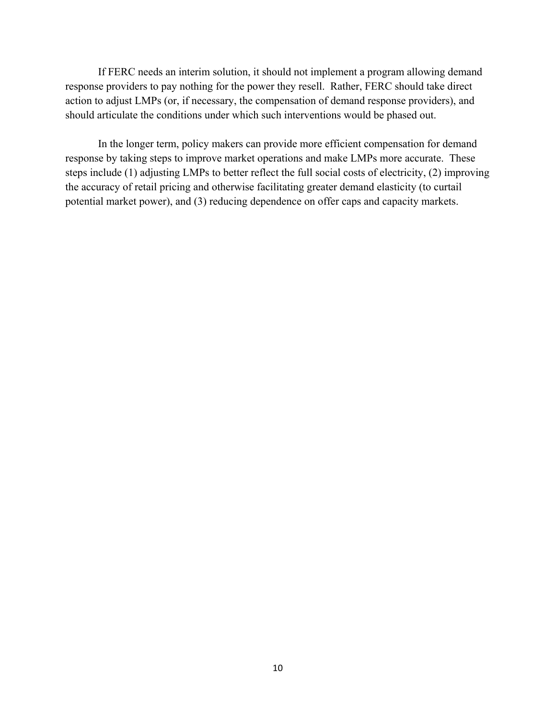If FERC needs an interim solution, it should not implement a program allowing demand response providers to pay nothing for the power they resell. Rather, FERC should take direct action to adjust LMPs (or, if necessary, the compensation of demand response providers), and should articulate the conditions under which such interventions would be phased out.

In the longer term, policy makers can provide more efficient compensation for demand response by taking steps to improve market operations and make LMPs more accurate. These steps include (1) adjusting LMPs to better reflect the full social costs of electricity, (2) improving the accuracy of retail pricing and otherwise facilitating greater demand elasticity (to curtail potential market power), and (3) reducing dependence on offer caps and capacity markets.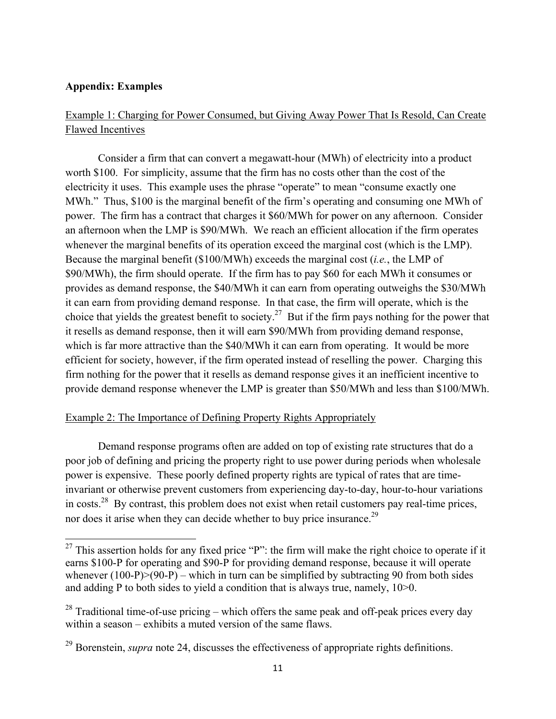### **Appendix: Examples**

## Example 1: Charging for Power Consumed, but Giving Away Power That Is Resold, Can Create Flawed Incentives

 Consider a firm that can convert a megawatt-hour (MWh) of electricity into a product worth \$100. For simplicity, assume that the firm has no costs other than the cost of the electricity it uses. This example uses the phrase "operate" to mean "consume exactly one MWh." Thus, \$100 is the marginal benefit of the firm's operating and consuming one MWh of power. The firm has a contract that charges it \$60/MWh for power on any afternoon. Consider an afternoon when the LMP is \$90/MWh. We reach an efficient allocation if the firm operates whenever the marginal benefits of its operation exceed the marginal cost (which is the LMP). Because the marginal benefit (\$100/MWh) exceeds the marginal cost (*i.e.*, the LMP of \$90/MWh), the firm should operate. If the firm has to pay \$60 for each MWh it consumes or provides as demand response, the \$40/MWh it can earn from operating outweighs the \$30/MWh it can earn from providing demand response. In that case, the firm will operate, which is the choice that yields the greatest benefit to society.<sup>27</sup> But if the firm pays nothing for the power that it resells as demand response, then it will earn \$90/MWh from providing demand response, which is far more attractive than the \$40/MWh it can earn from operating. It would be more efficient for society, however, if the firm operated instead of reselling the power. Charging this firm nothing for the power that it resells as demand response gives it an inefficient incentive to provide demand response whenever the LMP is greater than \$50/MWh and less than \$100/MWh.

#### Example 2: The Importance of Defining Property Rights Appropriately

 Demand response programs often are added on top of existing rate structures that do a poor job of defining and pricing the property right to use power during periods when wholesale power is expensive. These poorly defined property rights are typical of rates that are timeinvariant or otherwise prevent customers from experiencing day-to-day, hour-to-hour variations in costs.<sup>28</sup> By contrast, this problem does not exist when retail customers pay real-time prices, nor does it arise when they can decide whether to buy price insurance.29

<sup>&</sup>lt;sup>27</sup> This assertion holds for any fixed price "P": the firm will make the right choice to operate if it earns \$100-P for operating and \$90-P for providing demand response, because it will operate whenever  $(100-P)>(90-P)$  – which in turn can be simplified by subtracting 90 from both sides and adding P to both sides to yield a condition that is always true, namely, 10>0.

<sup>&</sup>lt;sup>28</sup> Traditional time-of-use pricing – which offers the same peak and off-peak prices every day within a season – exhibits a muted version of the same flaws.

<sup>&</sup>lt;sup>29</sup> Borenstein, *supra* note 24, discusses the effectiveness of appropriate rights definitions.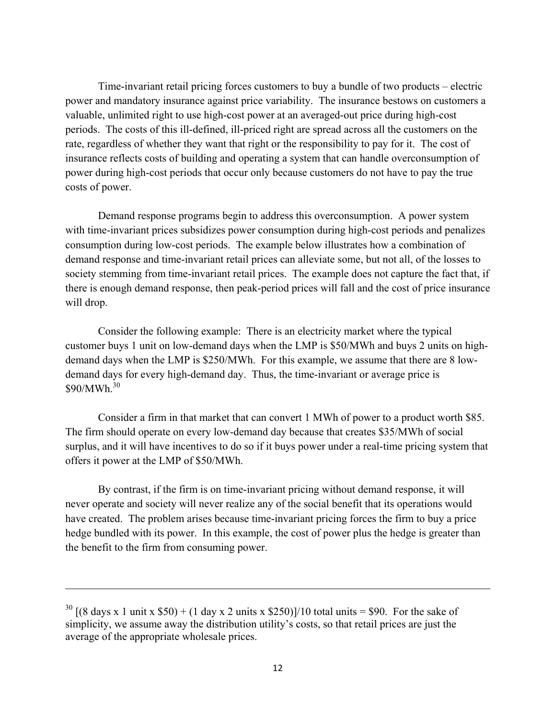Time-invariant retail pricing forces customers to buy a bundle of two products – electric power and mandatory insurance against price variability. The insurance bestows on customers a valuable, unlimited right to use high-cost power at an averaged-out price during high-cost periods. The costs of this ill-defined, ill-priced right are spread across all the customers on the rate, regardless of whether they want that right or the responsibility to pay for it. The cost of insurance reflects costs of building and operating a system that can handle overconsumption of power during high-cost periods that occur only because customers do not have to pay the true costs of power.

Demand response programs begin to address this overconsumption. A power system with time-invariant prices subsidizes power consumption during high-cost periods and penalizes consumption during low-cost periods. The example below illustrates how a combination of demand response and time-invariant retail prices can alleviate some, but not all, of the losses to society stemming from time-invariant retail prices. The example does not capture the fact that, if there is enough demand response, then peak-period prices will fall and the cost of price insurance will drop.

Consider the following example: There is an electricity market where the typical customer buys 1 unit on low-demand days when the LMP is \$50/MWh and buys 2 units on highdemand days when the LMP is \$250/MWh. For this example, we assume that there are 8 lowdemand days for every high-demand day. Thus, the time-invariant or average price is \$90/MWh<sup>30</sup>

Consider a firm in that market that can convert 1 MWh of power to a product worth \$85. The firm should operate on every low-demand day because that creates \$35/MWh of social surplus, and it will have incentives to do so if it buys power under a real-time pricing system that offers it power at the LMP of \$50/MWh.

By contrast, if the firm is on time-invariant pricing without demand response, it will never operate and society will never realize any of the social benefit that its operations would have created. The problem arises because time-invariant pricing forces the firm to buy a price hedge bundled with its power. In this example, the cost of power plus the hedge is greater than the benefit to the firm from consuming power.

<u> 1989 - Johann Stein, marwolaethau a gweledydd a ganlad y ganlad y ganlad y ganlad y ganlad y ganlad y ganlad</u>

<sup>&</sup>lt;sup>30</sup>  $[(8 \text{ days } x \text{ 1 unit } x \text{ $50}) + (1 \text{ day } x \text{ 2 units } x \text{ $250)}]/10 \text{ total units} = $90$ . For the sake of simplicity, we assume away the distribution utility's costs, so that retail prices are just the average of the appropriate wholesale prices.